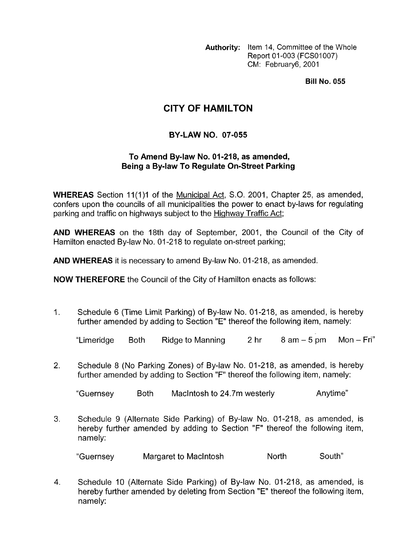**Authority:** Item 14, Committee of the Whole Report 01-003 (FCS01007) CM: February6, 2001

**Bill No. 055** 

## **CITY OF HAMILTON**

## **BY-LAW NO. 07-055**

## **To Amend By-law No. 01-218, as amended, Being a Bylaw To Regulate On-Street Parking**

**WHEREAS** Section 11(1)1 of the Municipal Act, S.O. 2001, Chapter 25, as amended, confers upon the councils of all municipalities the power to enact by-laws for regulating parking and traffic on highways subject to the Highway Traffic Act;

**AND WHEREAS** on the 18th day of September, 2001, the Council of the City of Hamilton enacted By-law No. 01-218 to regulate on-street parking;

**AND WHEREAS** it is necessary to amend By-law No. 01-218, as amended.

**NOW THEREFORE** the Council of the City of Hamilton enacts as follows:

1. Schedule 6 (Time Limit Parking) of By-law No. 01-218, as amended, is hereby further amended by adding to Section "E" thereof the following item, namely:

"Limeridge Both Ridge $to $M$ anning 2 hr 8 am – 5 pm  $M$ on – Fri $^{\prime\prime}$$ 

2. Schedule 8 (No Parking Zones) of By-law No. 01-218, as amended, is hereby further amended by adding to Section "F" thereof the following item, namely:

"Guernsey Both Maclntosh to 24.7m westerly Anytime"

**3.**  Schedule 9 (Alternate Side Parking) of By-law No. 01-218, as amended, is hereby further amended by adding to Section "F" thereof the following item, namely:

"Guernsey Margaret to MacIntosh North South"

**4.**  Schedule 10 (Alternate Side Parking) of By-law No. 01-218, as amended, is hereby further amended by deleting from Section "E" thereof the following item, namely: